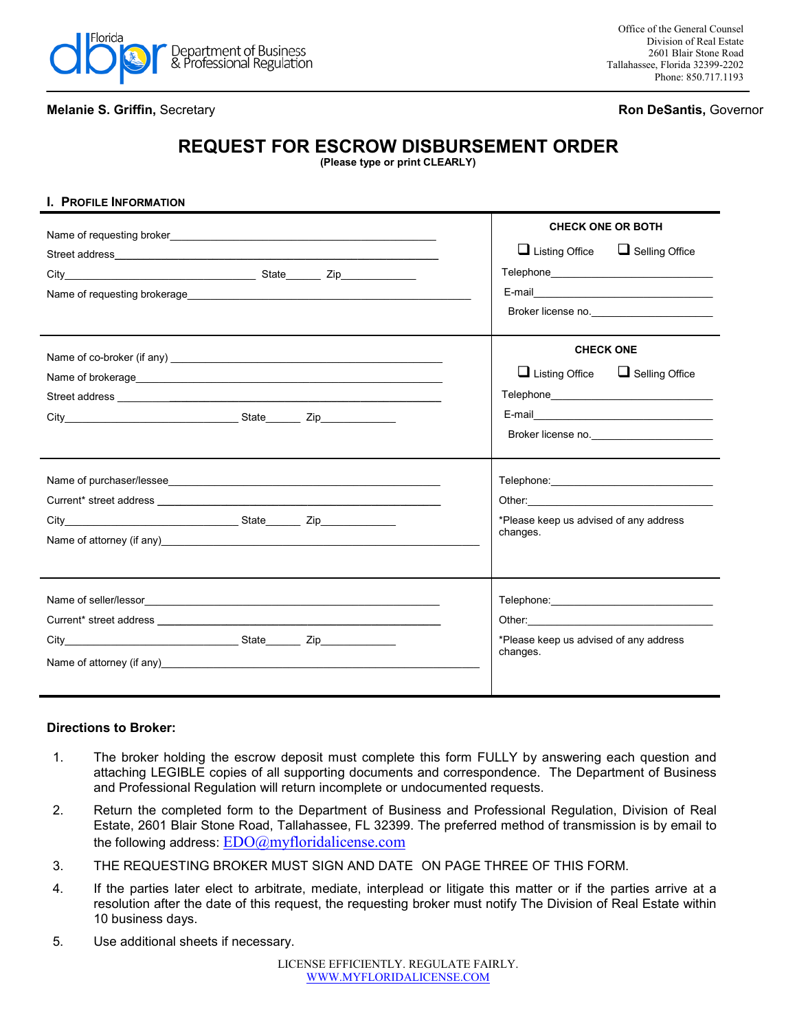

## **Melanie S. Griffin,** Secretary **Ron DeSantis,** Governor

## **REQUEST FOR ESCROW DISBURSEMENT ORDER**

**(Please type or print CLEARLY)**

| I. PROFILE INFORMATION                                                                                                                                                                                                         |                                                                                                                                                                                                                                                                                      |
|--------------------------------------------------------------------------------------------------------------------------------------------------------------------------------------------------------------------------------|--------------------------------------------------------------------------------------------------------------------------------------------------------------------------------------------------------------------------------------------------------------------------------------|
|                                                                                                                                                                                                                                | <b>CHECK ONE OR BOTH</b><br>$\Box$ Listing Office<br>$\Box$ Selling Office<br>E-mail 2008 - 2008 - 2008 - 2019 - 2019 - 2019 - 2019 - 2019 - 2019 - 2019 - 2019 - 2019 - 2019 - 2019 - 2019<br>Broker license no.                                                                    |
| Street address and the state of the state of the state of the state of the state of the state of the state of the state of the state of the state of the state of the state of the state of the state of the state of the stat | <b>CHECK ONE</b><br>$\Box$ Listing Office $\Box$ Selling Office<br>E-mail 2008 2009 2010 2021 2022 2023 2024 2022 2023 2024 2022 2023 2024 2022 2023 2024 2022 2023 2024 2022 20<br>Broker license no.                                                                               |
| Current* street address and the street and the street and the street and the street and the street and the street and the street and the street and the street and the street and the street and the street and the street and | *Please keep us advised of any address<br>changes.                                                                                                                                                                                                                                   |
|                                                                                                                                                                                                                                | Other: the contract of the contract of the contract of the contract of the contract of the contract of the contract of the contract of the contract of the contract of the contract of the contract of the contract of the con<br>*Please keep us advised of any address<br>changes. |

## **Directions to Broker:**

- 1. The broker holding the escrow deposit must complete this form FULLY by answering each question and attaching LEGIBLE copies of all supporting documents and correspondence. The Department of Business and Professional Regulation will return incomplete or undocumented requests.
- 2. Return the completed form to the Department of Business and Professional Regulation, Division of Real Estate, 2601 Blair Stone Road, Tallahassee, FL 32399. The preferred method of transmission is by email to the following address:  $EDO(a)$ myfloridalicense.com
- 3. THE REQUESTING BROKER MUST SIGN AND DATE ON PAGE THREE OF THIS FORM.
- 4. If the parties later elect to arbitrate, mediate, interplead or litigate this matter or if the parties arrive at a resolution after the date of this request, the requesting broker must notify The Division of Real Estate within 10 business days.
- 5. Use additional sheets if necessary.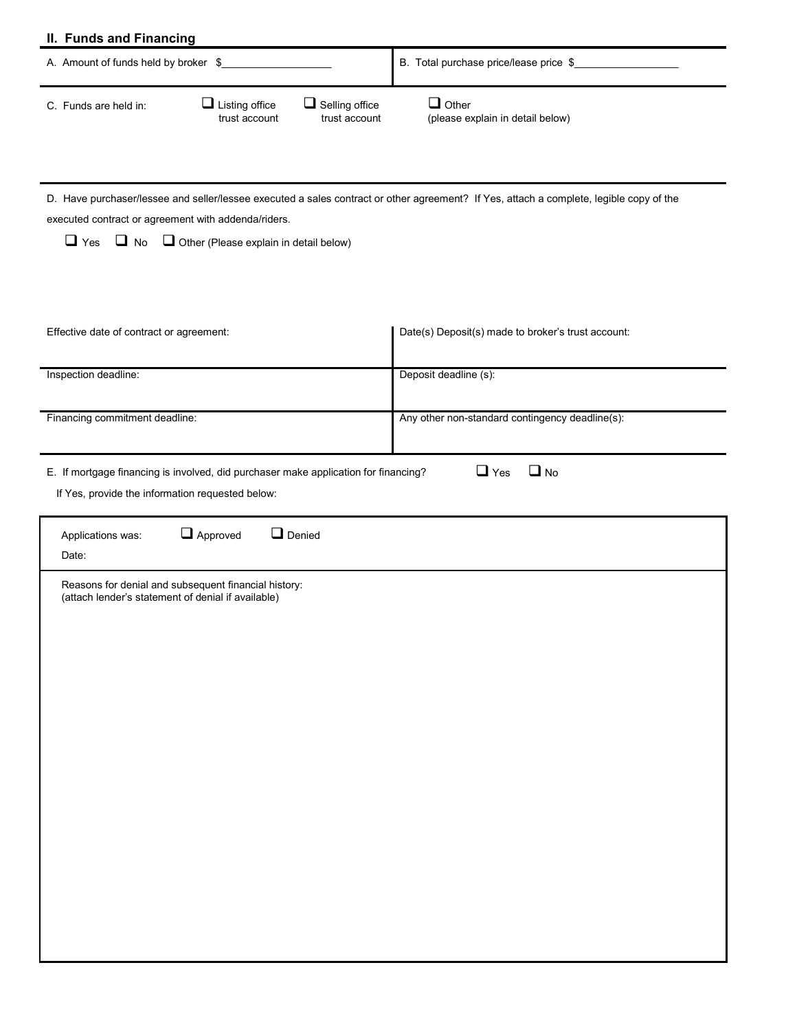| II. Funds and Financing                                                                                                                                                                                                                                              |                                                    |  |  |  |  |
|----------------------------------------------------------------------------------------------------------------------------------------------------------------------------------------------------------------------------------------------------------------------|----------------------------------------------------|--|--|--|--|
| A. Amount of funds held by broker \$                                                                                                                                                                                                                                 | B. Total purchase price/lease price \$             |  |  |  |  |
| $\Box$ Listing office<br>$\Box$ Selling office<br>C. Funds are held in:<br>trust account<br>trust account                                                                                                                                                            | $\Box$ Other<br>(please explain in detail below)   |  |  |  |  |
| D. Have purchaser/lessee and seller/lessee executed a sales contract or other agreement? If Yes, attach a complete, legible copy of the<br>executed contract or agreement with addenda/riders.<br>$\Box$ Yes $\Box$ No $\Box$ Other (Please explain in detail below) |                                                    |  |  |  |  |
| Effective date of contract or agreement:                                                                                                                                                                                                                             | Date(s) Deposit(s) made to broker's trust account: |  |  |  |  |
| Inspection deadline:                                                                                                                                                                                                                                                 | Deposit deadline (s):                              |  |  |  |  |
| Financing commitment deadline:                                                                                                                                                                                                                                       | Any other non-standard contingency deadline(s):    |  |  |  |  |
| $\Box$ No<br>$\Box$ Yes<br>E. If mortgage financing is involved, did purchaser make application for financing?<br>If Yes, provide the information requested below:                                                                                                   |                                                    |  |  |  |  |
| $\Box$ Approved<br>$\Box$ Denied<br>Applications was:<br>Date:                                                                                                                                                                                                       |                                                    |  |  |  |  |
| Reasons for denial and subsequent financial history:<br>(attach lender's statement of denial if available)                                                                                                                                                           |                                                    |  |  |  |  |